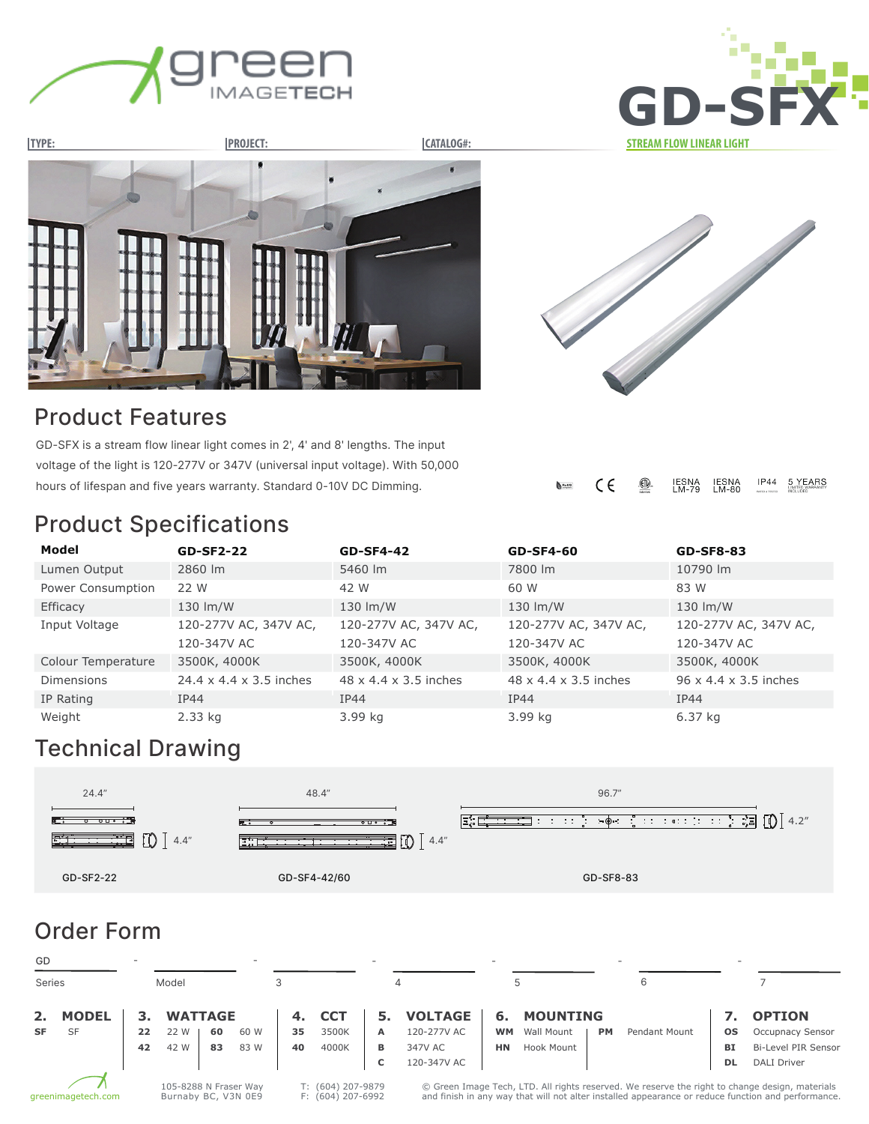







### Product Features

GD-SFX is a stream flow linear light comes in 2', 4' and 8' lengths. The input voltage of the light is 120-277V or 347V (universal input voltage). With 50,000 hours of lifespan and five years warranty. Standard 0-10V DC Dimming.

#### $C \in$ ◍ IESNA<br>LM-79 IESNA<br>LM-80  $IP44$ 5 YEARS  $\sum_{\text{RoHS}}$

# Product Specifications

| Model              | <b>GD-SF2-22</b>                    | <b>GD-SF4-42</b>                  | <b>GD-SF4-60</b>                  | <b>GD-SF8-83</b>                  |
|--------------------|-------------------------------------|-----------------------------------|-----------------------------------|-----------------------------------|
| Lumen Output       | 2860 lm                             | 5460 lm                           | 7800 lm                           | 10790 lm                          |
| Power Consumption  | 22 W                                | 42 W                              | 60 W                              | 83 W                              |
| Efficacy           | 130 lm/W                            | 130 lm/W                          | 130 lm/W                          | 130 lm/W                          |
| Input Voltage      | 120-277V AC, 347V AC,               | 120-277V AC, 347V AC,             | 120-277V AC, 347V AC,             | 120-277V AC, 347V AC,             |
|                    | 120-347V AC                         | 120-347V AC                       | 120-347V AC                       | 120-347V AC                       |
| Colour Temperature | 3500K, 4000K                        | 3500K, 4000K                      | 3500K, 4000K                      | 3500K, 4000K                      |
| <b>Dimensions</b>  | $24.4 \times 4.4 \times 3.5$ inches | $48 \times 4.4 \times 3.5$ inches | $48 \times 4.4 \times 3.5$ inches | $96 \times 4.4 \times 3.5$ inches |
| IP Rating          | IP44                                | IP44                              | IP44                              | <b>IP44</b>                       |
| Weight             | 2.33 kg                             | 3.99 kg                           | 3.99 kg                           | $6.37$ kg                         |

# Technical Drawing



| GD                                                                                                           |              |    |                |    |      |    |                                                                                                                                                                                                      |    |                | $\sim$    |                 |           |                      |           |                         |
|--------------------------------------------------------------------------------------------------------------|--------------|----|----------------|----|------|----|------------------------------------------------------------------------------------------------------------------------------------------------------------------------------------------------------|----|----------------|-----------|-----------------|-----------|----------------------|-----------|-------------------------|
| <b>Series</b>                                                                                                |              |    | Model          |    |      |    |                                                                                                                                                                                                      |    |                |           |                 |           |                      |           |                         |
| 2.                                                                                                           | <b>MODEL</b> | з. | <b>WATTAGE</b> |    |      | 4. | <b>CCT</b>                                                                                                                                                                                           | 5. | <b>VOLTAGE</b> | 6.        | <b>MOUNTING</b> |           |                      |           | <b>OPTION</b>           |
| <b>SF</b>                                                                                                    | <b>SF</b>    | 22 | 22 W           | 60 | 60 W | 35 | 3500K                                                                                                                                                                                                | A  | 120-277V AC    | <b>WM</b> | Wall Mount      | <b>PM</b> | <b>Pendant Mount</b> | <b>OS</b> | <b>Occupnacy Sensor</b> |
|                                                                                                              |              | 42 | 42 W           | 83 | 83 W | 40 | 4000K                                                                                                                                                                                                | в  | 347V AC        | <b>HN</b> | Hook Mount      |           |                      | BI        | Bi-Level PIR Sensor     |
|                                                                                                              |              |    |                |    |      |    |                                                                                                                                                                                                      | c  | 120-347V AC    |           |                 |           |                      | <b>DL</b> | <b>DALI Driver</b>      |
| T: (604) 207-9879<br>105-8288 N Fraser Way<br>Burnaby BC, V3N 0E9<br>F: (604) 207-6992<br>greenimagetech.com |              |    |                |    |      |    | © Green Image Tech, LTD. All rights reserved. We reserve the right to change design, materials<br>and finish in any way that will not alter installed appearance or reduce function and performance. |    |                |           |                 |           |                      |           |                         |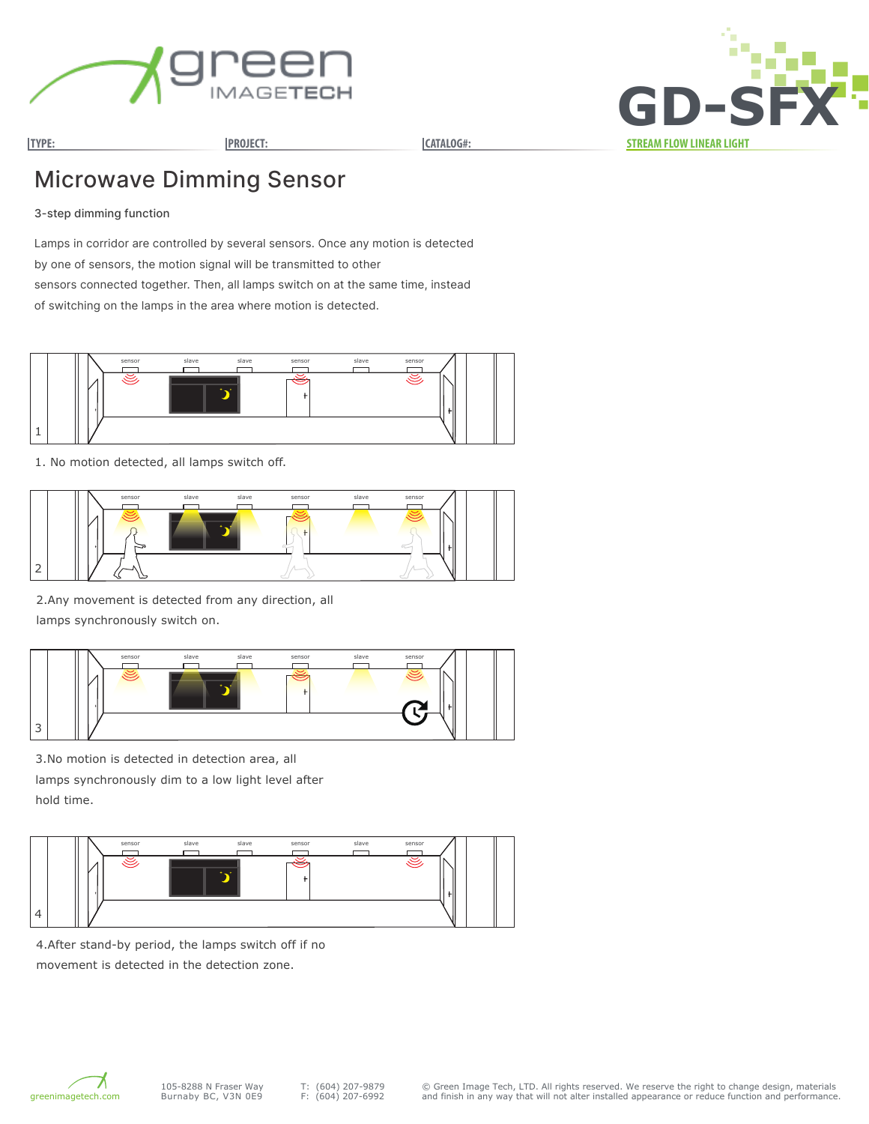

**TYPE: PROJECT: CATALOG#: STREAM FLOW LINEAR LIGHT GD-SFX**

## Microwave Dimming Sensor

#### 3-step dimming function

Lamps in corridor are controlled by several sensors. Once any motion is detected by one of sensors, the motion signal will be transmitted to other sensors connected together. Then, all lamps switch on at the same time, instead of switching on the lamps in the area where motion is detected.



1. No motion detected, all lamps switch off.



2.Any movement is detected from any direction, all lamps synchronously switch on.



3.No motion is detected in detection area, all lamps synchronously dim to a low light level after hold time.



4.After stand-by period, the lamps switch off if no movement is detected in the detection zone.